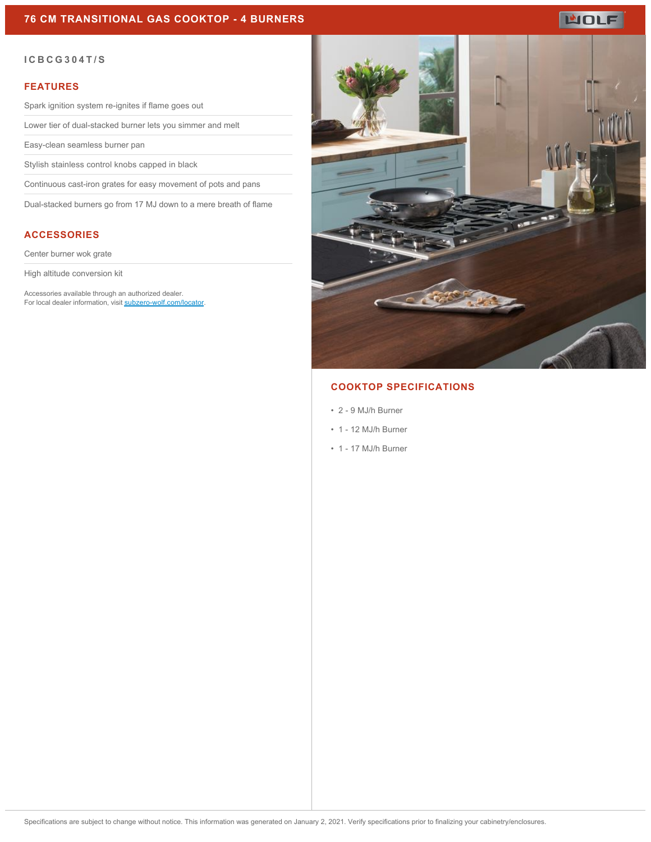## **76 CM TRANSITIONAL GAS COOKTOP - 4 BURNERS**

# **WOLF**

#### **ICBCG304T/S**

#### **FEATURES**

Spark ignition system re-ignites if flame goes out

Lower tier of dual-stacked burner lets you simmer and melt

Easy-clean seamless burner pan

Stylish stainless control knobs capped in black

Continuous cast-iron grates for easy movement of pots and pans

Dual-stacked burners go from 17 MJ down to a mere breath of flame

## **ACCESSORIES**

Center burner wok grate

High altitude conversion kit

Accessories available through an authorized dealer. For local dealer information, visit [subzero-wolf.com/locator.](http://www.subzero-wolf.com/locator)



## **COOKTOP SPECIFICATIONS**

- 2 9 MJ/h Burner
- 1 12 MJ/h Burner
- 1 17 MJ/h Burner